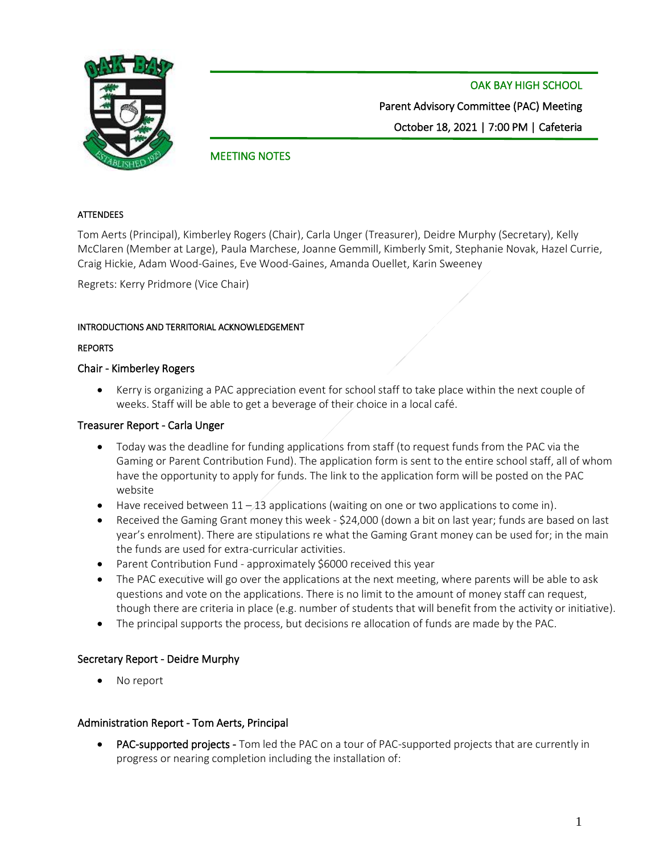

 OAK BAY HIGH SCHOOL Parent Advisory Committee (PAC) Meeting October 18, 2021 | 7:00 PM | Cafeteria

# MEETING NOTES

#### **ATTENDEES**

Tom Aerts (Principal), Kimberley Rogers (Chair), Carla Unger (Treasurer), Deidre Murphy (Secretary), Kelly McClaren (Member at Large), Paula Marchese, Joanne Gemmill, Kimberly Smit, Stephanie Novak, Hazel Currie, Craig Hickie, Adam Wood-Gaines, Eve Wood-Gaines, Amanda Ouellet, Karin Sweeney

Regrets: Kerry Pridmore (Vice Chair)

#### INTRODUCTIONS AND TERRITORIAL ACKNOWLEDGEMENT

#### REPORTS

## Chair - Kimberley Rogers

• Kerry is organizing a PAC appreciation event for school staff to take place within the next couple of weeks. Staff will be able to get a beverage of their choice in a local café.

#### Treasurer Report - Carla Unger

- Today was the deadline for funding applications from staff (to request funds from the PAC via the Gaming or Parent Contribution Fund). The application form is sent to the entire school staff, all of whom have the opportunity to apply for funds. The link to the application form will be posted on the PAC website
- Have received between  $11 13$  applications (waiting on one or two applications to come in).
- Received the Gaming Grant money this week \$24,000 (down a bit on last year; funds are based on last year's enrolment). There are stipulations re what the Gaming Grant money can be used for; in the main the funds are used for extra-curricular activities.
- Parent Contribution Fund approximately \$6000 received this year
- The PAC executive will go over the applications at the next meeting, where parents will be able to ask questions and vote on the applications. There is no limit to the amount of money staff can request, though there are criteria in place (e.g. number of students that will benefit from the activity or initiative).
- The principal supports the process, but decisions re allocation of funds are made by the PAC.

## Secretary Report - Deidre Murphy

No report

## Administration Report - Tom Aerts, Principal

**PAC-supported projects -** Tom led the PAC on a tour of PAC-supported projects that are currently in progress or nearing completion including the installation of: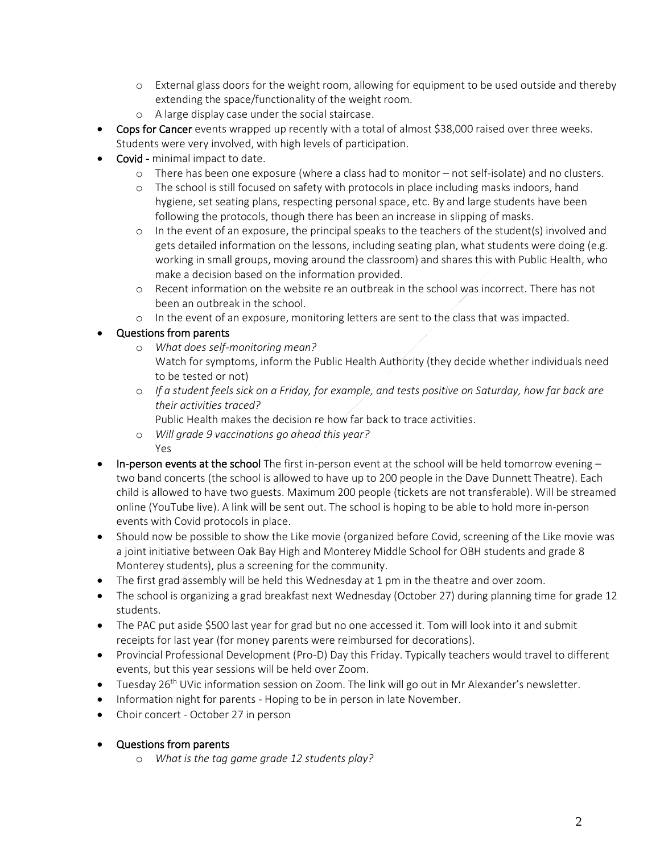- o External glass doors for the weight room, allowing for equipment to be used outside and thereby extending the space/functionality of the weight room.
- o A large display case under the social staircase.
- Cops for Cancer events wrapped up recently with a total of almost \$38,000 raised over three weeks. Students were very involved, with high levels of participation.
- Covid minimal impact to date.
	- o There has been one exposure (where a class had to monitor not self-isolate) and no clusters.
	- o The school is still focused on safety with protocols in place including masks indoors, hand hygiene, set seating plans, respecting personal space, etc. By and large students have been following the protocols, though there has been an increase in slipping of masks.
	- o In the event of an exposure, the principal speaks to the teachers of the student(s) involved and gets detailed information on the lessons, including seating plan, what students were doing (e.g. working in small groups, moving around the classroom) and shares this with Public Health, who make a decision based on the information provided.
	- o Recent information on the website re an outbreak in the school was incorrect. There has not been an outbreak in the school.
	- o In the event of an exposure, monitoring letters are sent to the class that was impacted.

## • Questions from parents

- o *What does self-monitoring mean?* Watch for symptoms, inform the Public Health Authority (they decide whether individuals need to be tested or not)
- o *If a student feels sick on a Friday, for example, and tests positive on Saturday, how far back are their activities traced?*

Public Health makes the decision re how far back to trace activities.

- o *Will grade 9 vaccinations go ahead this year?* Yes
- $\bullet$  In-person events at the school The first in-person event at the school will be held tomorrow evening  $$ two band concerts (the school is allowed to have up to 200 people in the Dave Dunnett Theatre). Each child is allowed to have two guests. Maximum 200 people (tickets are not transferable). Will be streamed online (YouTube live). A link will be sent out. The school is hoping to be able to hold more in-person events with Covid protocols in place.
- Should now be possible to show the Like movie (organized before Covid, screening of the Like movie was a joint initiative between Oak Bay High and Monterey Middle School for OBH students and grade 8 Monterey students), plus a screening for the community.
- The first grad assembly will be held this Wednesday at 1 pm in the theatre and over zoom.
- The school is organizing a grad breakfast next Wednesday (October 27) during planning time for grade 12 students.
- The PAC put aside \$500 last year for grad but no one accessed it. Tom will look into it and submit receipts for last year (for money parents were reimbursed for decorations).
- Provincial Professional Development (Pro-D) Day this Friday. Typically teachers would travel to different events, but this year sessions will be held over Zoom.
- Tuesday  $26<sup>th</sup>$  UVic information session on Zoom. The link will go out in Mr Alexander's newsletter.
- Information night for parents Hoping to be in person in late November.
- Choir concert October 27 in person
- Questions from parents
	- o *What is the tag game grade 12 students play?*